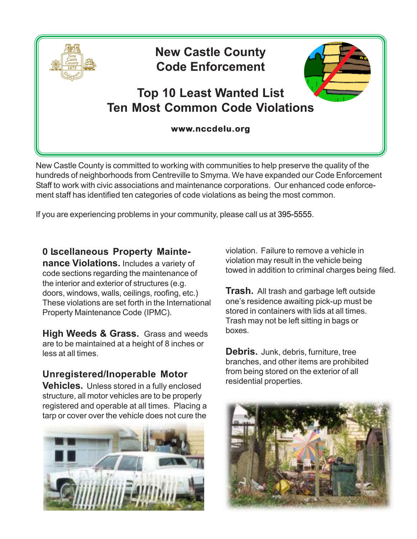

New Castle County is committed to working with communities to help preserve the quality of the hundreds of neighborhoods from Centreville to Smyrna. We have expanded our Code Enforcement Staff to work with civic associations and maintenance corporations. Our enhanced code enforcement staff has identified ten categories of code violations as being the most common.

If you are experiencing problems in your community, please call us at 395-5555.

## A **Scellaneous Property Mainte-**

**nance Violations.** Includes a variety of code sections regarding the maintenance of the interior and exterior of structures (e.g. doors, windows, walls, ceilings, roofing, etc.) These violations are set forth in the International Property Maintenance Code (IPMC).

**High Weeds & Grass.** Grass and weeds are to be maintained at a height of 8 inches or less at all times.

## **Unregistered/Inoperable Motor**

**Vehicles.** Unless stored in a fully enclosed structure, all motor vehicles are to be properly registered and operable at all times. Placing a tarp or cover over the vehicle does not cure the



violation. Failure to remove a vehicle in violation may result in the vehicle being towed in addition to criminal charges being filed.

**Trash.** All trash and garbage left outside one's residence awaiting pick-up must be stored in containers with lids at all times. Trash may not be left sitting in bags or boxes.

**Debris.** Junk, debris, furniture, tree branches, and other items are prohibited from being stored on the exterior of all residential properties.